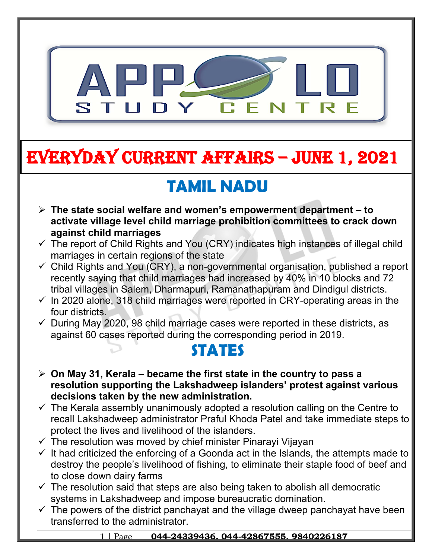

# **EVERYDAY CURRENT AFFAIRS – JUNE 1, 2021**

**-**

# **TAMIL NADU**

- **The state social welfare and women's empowerment department to activate village level child marriage prohibition committees to crack down against child marriages**
- $\checkmark$  The report of Child Rights and You (CRY) indicates high instances of illegal child marriages in certain regions of the state
- $\checkmark$  Child Rights and You (CRY), a non-governmental organisation, published a report recently saying that child marriages had increased by 40% in 10 blocks and 72 tribal villages in Salem, Dharmapuri, Ramanathapuram and Dindigul districts.
- $\checkmark$  In 2020 alone, 318 child marriages were reported in CRY-operating areas in the four districts.
- $\checkmark$  During May 2020, 98 child marriage cases were reported in these districts, as against 60 cases reported during the corresponding period in 2019.

#### **STATES**

- **On May 31, Kerala became the first state in the country to pass a resolution supporting the Lakshadweep islanders' protest against various decisions taken by the new administration.**
- $\checkmark$  The Kerala assembly unanimously adopted a resolution calling on the Centre to recall Lakshadweep administrator Praful Khoda Patel and take immediate steps to protect the lives and livelihood of the islanders.
- $\checkmark$  The resolution was moved by chief minister Pinarayi Vijayan
- $\checkmark$  It had criticized the enforcing of a Goonda act in the Islands, the attempts made to destroy the people's livelihood of fishing, to eliminate their staple food of beef and to close down dairy farms
- $\checkmark$  The resolution said that steps are also being taken to abolish all democratic systems in Lakshadweep and impose bureaucratic domination.
- $\checkmark$  The powers of the district panchayat and the village dweep panchayat have been transferred to the administrator.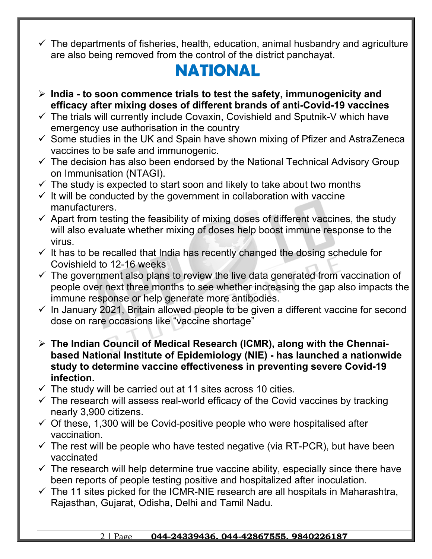$\checkmark$  The departments of fisheries, health, education, animal husbandry and agriculture are also being removed from the control of the district panchayat.

#### **NATIONAL**

- **India to soon commence trials to test the safety, immunogenicity and efficacy after mixing doses of different brands of anti-Covid-19 vaccines**
- $\checkmark$  The trials will currently include Covaxin, Covishield and Sputnik-V which have emergency use authorisation in the country
- $\checkmark$  Some studies in the UK and Spain have shown mixing of Pfizer and AstraZeneca vaccines to be safe and immunogenic.
- $\checkmark$  The decision has also been endorsed by the National Technical Advisory Group on Immunisation (NTAGI).
- $\checkmark$  The study is expected to start soon and likely to take about two months
- $\checkmark$  It will be conducted by the government in collaboration with vaccine manufacturers.
- $\checkmark$  Apart from testing the feasibility of mixing doses of different vaccines, the study will also evaluate whether mixing of doses help boost immune response to the virus.
- $\checkmark$  It has to be recalled that India has recently changed the dosing schedule for Covishield to 12-16 weeks
- $\checkmark$  The government also plans to review the live data generated from vaccination of people over next three months to see whether increasing the gap also impacts the immune response or help generate more antibodies.
- $\checkmark$  In January 2021, Britain allowed people to be given a different vaccine for second dose on rare occasions like "vaccine shortage"
- **The Indian Council of Medical Research (ICMR), along with the Chennaibased National Institute of Epidemiology (NIE) - has launched a nationwide study to determine vaccine effectiveness in preventing severe Covid-19 infection.**
- $\checkmark$  The study will be carried out at 11 sites across 10 cities.
- $\checkmark$  The research will assess real-world efficacy of the Covid vaccines by tracking nearly 3,900 citizens.
- $\checkmark$  Of these, 1,300 will be Covid-positive people who were hospitalised after vaccination.
- $\checkmark$  The rest will be people who have tested negative (via RT-PCR), but have been vaccinated
- $\checkmark$  The research will help determine true vaccine ability, especially since there have been reports of people testing positive and hospitalized after inoculation.
- $\checkmark$  The 11 sites picked for the ICMR-NIE research are all hospitals in Maharashtra, Rajasthan, Gujarat, Odisha, Delhi and Tamil Nadu.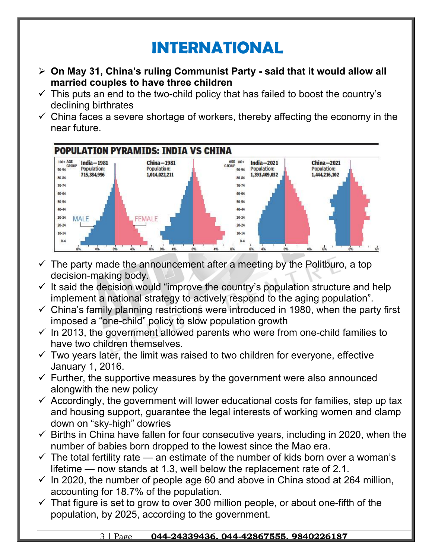## **INTERNATIONAL**

- **On May 31, China's ruling Communist Party said that it would allow all married couples to have three children**
- $\checkmark$  This puts an end to the two-child policy that has failed to boost the country's declining birthrates
- $\checkmark$  China faces a severe shortage of workers, thereby affecting the economy in the near future.



- $\checkmark$  The party made the announcement after a meeting by the Politburo, a top decision-making body.
- $\checkmark$  It said the decision would "improve the country's population structure and help implement a national strategy to actively respond to the aging population".
- $\checkmark$  China's family planning restrictions were introduced in 1980, when the party first imposed a "one-child" policy to slow population growth
- $\checkmark$  In 2013, the government allowed parents who were from one-child families to have two children themselves.
- $\checkmark$  Two years later, the limit was raised to two children for everyone, effective January 1, 2016.
- $\checkmark$  Further, the supportive measures by the government were also announced alongwith the new policy
- $\checkmark$  Accordingly, the government will lower educational costs for families, step up tax and housing support, guarantee the legal interests of working women and clamp down on "sky-high" dowries
- $\checkmark$  Births in China have fallen for four consecutive years, including in 2020, when the number of babies born dropped to the lowest since the Mao era.
- $\checkmark$  The total fertility rate an estimate of the number of kids born over a woman's lifetime — now stands at 1.3, well below the replacement rate of 2.1.
- $\checkmark$  In 2020, the number of people age 60 and above in China stood at 264 million, accounting for 18.7% of the population.
- $\checkmark$  That figure is set to grow to over 300 million people, or about one-fifth of the population, by 2025, according to the government.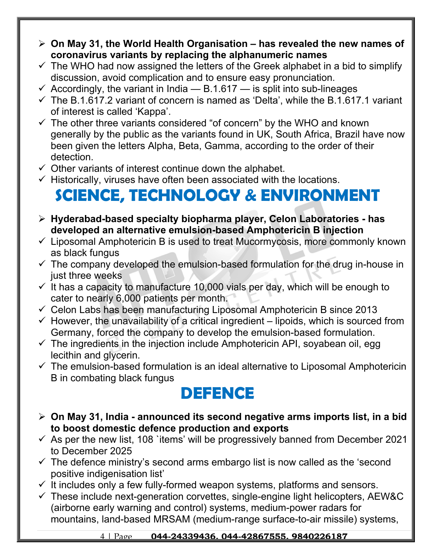- **On May 31, the World Health Organisation has revealed the new names of coronavirus variants by replacing the alphanumeric names**
- $\checkmark$  The WHO had now assigned the letters of the Greek alphabet in a bid to simplify discussion, avoid complication and to ensure easy pronunciation.
- $\checkmark$  Accordingly, the variant in India B.1.617 is split into sub-lineages
- $\checkmark$  The B.1.617.2 variant of concern is named as 'Delta', while the B.1.617.1 variant of interest is called 'Kappa'.
- $\checkmark$  The other three variants considered "of concern" by the WHO and known generally by the public as the variants found in UK, South Africa, Brazil have now been given the letters Alpha, Beta, Gamma, according to the order of their detection.
- $\checkmark$  Other variants of interest continue down the alphabet.
- $\checkmark$  Historically, viruses have often been associated with the locations.

# **SCIENCE, TECHNOLOGY & ENVIRONMENT**

- **Hyderabad-based specialty biopharma player, Celon Laboratories has developed an alternative emulsion-based Amphotericin B injection**
- $\checkmark$  Liposomal Amphotericin B is used to treat Mucormycosis, more commonly known as black fungus
- $\checkmark$  The company developed the emulsion-based formulation for the drug in-house in just three weeks
- $\checkmark$  It has a capacity to manufacture 10,000 vials per day, which will be enough to cater to nearly 6,000 patients per month.
- $\checkmark$  Celon Labs has been manufacturing Liposomal Amphotericin B since 2013
- $\checkmark$  However, the unavailability of a critical ingredient lipoids, which is sourced from Germany, forced the company to develop the emulsion-based formulation.
- $\checkmark$  The ingredients in the injection include Amphotericin API, soyabean oil, egg lecithin and glycerin.
- $\checkmark$  The emulsion-based formulation is an ideal alternative to Liposomal Amphotericin B in combating black fungus

#### **DEFENCE**

- **On May 31, India announced its second negative arms imports list, in a bid to boost domestic defence production and exports**
- $\checkmark$  As per the new list, 108 `items' will be progressively banned from December 2021 to December 2025
- $\checkmark$  The defence ministry's second arms embargo list is now called as the 'second positive indigenisation list'
- $\checkmark$  It includes only a few fully-formed weapon systems, platforms and sensors.
- $\checkmark$  These include next-generation corvettes, single-engine light helicopters, AEW&C (airborne early warning and control) systems, medium-power radars for mountains, land-based MRSAM (medium-range surface-to-air missile) systems,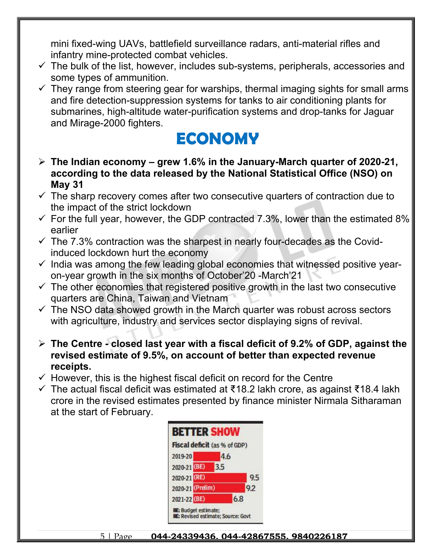mini fixed-wing UAVs, battlefield surveillance radars, anti-material rifles and infantry mine-protected combat vehicles.

- $\checkmark$  The bulk of the list, however, includes sub-systems, peripherals, accessories and some types of ammunition.
- $\checkmark$  They range from steering gear for warships, thermal imaging sights for small arms and fire detection-suppression systems for tanks to air conditioning plants for submarines, high-altitude water-purification systems and drop-tanks for Jaguar and Mirage-2000 fighters.

#### **ECONOMY**

- **The Indian economy grew 1.6% in the January-March quarter of 2020-21, according to the data released by the National Statistical Office (NSO) on May 31**
- $\checkmark$  The sharp recovery comes after two consecutive quarters of contraction due to the impact of the strict lockdown
- $\checkmark$  For the full year, however, the GDP contracted 7.3%, lower than the estimated 8% earlier
- $\checkmark$  The 7.3% contraction was the sharpest in nearly four-decades as the Covidinduced lockdown hurt the economy
- $\checkmark$  India was among the few leading global economies that witnessed positive yearon-year growth in the six months of October'20 -March'21
- $\checkmark$  The other economies that registered positive growth in the last two consecutive quarters are China, Taiwan and Vietnam
- $\checkmark$  The NSO data showed growth in the March quarter was robust across sectors with agriculture, industry and services sector displaying signs of revival.
- **The Centre closed last year with a fiscal deficit of 9.2% of GDP, against the revised estimate of 9.5%, on account of better than expected revenue receipts.**
- $\checkmark$  However, this is the highest fiscal deficit on record for the Centre
- The actual fiscal deficit was estimated at ₹18.2 lakh crore, as against ₹18.4 lakh crore in the revised estimates presented by finance minister Nirmala Sitharaman at the start of February.

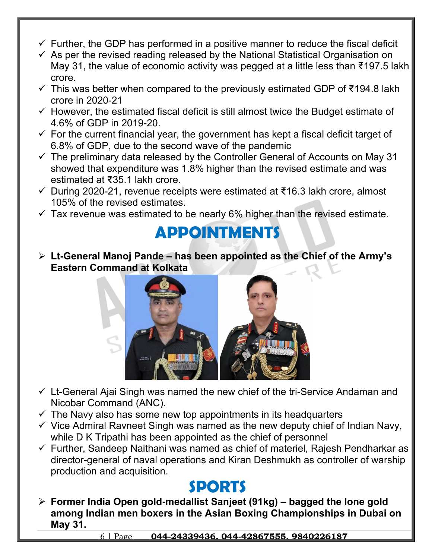- $\checkmark$  Further, the GDP has performed in a positive manner to reduce the fiscal deficit
- $\checkmark$  As per the revised reading released by the National Statistical Organisation on May 31, the value of economic activity was pegged at a little less than ₹197.5 lakh crore.
- $\checkmark$  This was better when compared to the previously estimated GDP of ₹194.8 lakh crore in 2020-21
- $\checkmark$  However, the estimated fiscal deficit is still almost twice the Budget estimate of 4.6% of GDP in 2019-20.
- $\checkmark$  For the current financial year, the government has kept a fiscal deficit target of 6.8% of GDP, due to the second wave of the pandemic
- $\checkmark$  The preliminary data released by the Controller General of Accounts on May 31 showed that expenditure was 1.8% higher than the revised estimate and was estimated at ₹35.1 lakh crore.
- During 2020-21, revenue receipts were estimated at ₹16.3 lakh crore, almost 105% of the revised estimates.
- $\checkmark$  Tax revenue was estimated to be nearly 6% higher than the revised estimate.

### **APPOINTMENTS**

 **Lt-General Manoj Pande – has been appointed as the Chief of the Army's Eastern Command at Kolkata** 



- $\checkmark$  Lt-General Ajai Singh was named the new chief of the tri-Service Andaman and Nicobar Command (ANC).
- $\checkmark$  The Navy also has some new top appointments in its headquarters
- $\checkmark$  Vice Admiral Ravneet Singh was named as the new deputy chief of Indian Navy, while D K Tripathi has been appointed as the chief of personnel
- $\checkmark$  Further, Sandeep Naithani was named as chief of materiel, Rajesh Pendharkar as director-general of naval operations and Kiran Deshmukh as controller of warship production and acquisition.

#### **SPORTS**

 **Former India Open gold-medallist Sanjeet (91kg) – bagged the lone gold among Indian men boxers in the Asian Boxing Championships in Dubai on May 31.**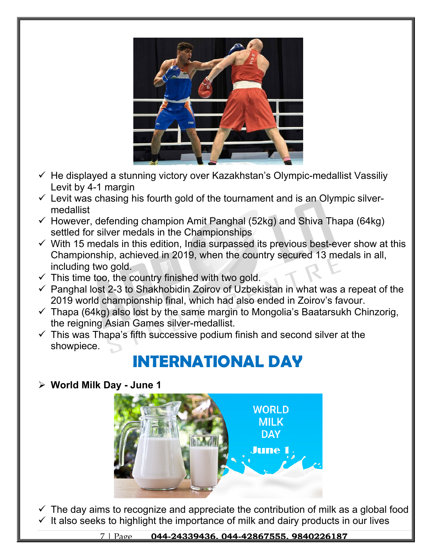

- $\checkmark$  He displayed a stunning victory over Kazakhstan's Olympic-medallist Vassiliy Levit by 4-1 margin
- $\checkmark$  Levit was chasing his fourth gold of the tournament and is an Olympic silvermedallist
- $\checkmark$  However, defending champion Amit Panghal (52kg) and Shiva Thapa (64kg) settled for silver medals in the Championships
- $\checkmark$  With 15 medals in this edition, India surpassed its previous best-ever show at this Championship, achieved in 2019, when the country secured 13 medals in all, including two gold.
- $\checkmark$  This time too, the country finished with two gold.
- $\checkmark$  Panghal lost 2-3 to Shakhobidin Zoirov of Uzbekistan in what was a repeat of the 2019 world championship final, which had also ended in Zoirov's favour.
- $\checkmark$  Thapa (64kg) also lost by the same margin to Mongolia's Baatarsukh Chinzorig, the reigning Asian Games silver-medallist.
- $\checkmark$  This was Thapa's fifth successive podium finish and second silver at the showpiece.

## **INTERNATIONAL DAY**

**World Milk Day - June 1**



 $\checkmark$  The day aims to recognize and appreciate the contribution of milk as a global food  $\checkmark$  It also seeks to highlight the importance of milk and dairy products in our lives